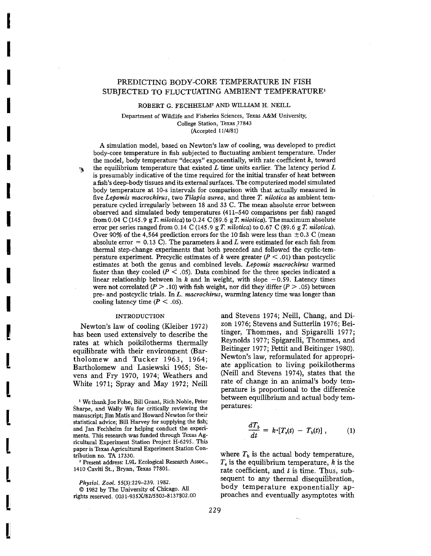# PREDICTING BODY-CORE TEMPERATURE IN FISH SUBJECTED TO FLUCTUATING AMBIENT TEMPERATURE<sup>1</sup>

ROBERT G. FECHHELM<sup>2</sup> AND WILLIAM H. NEILL

Department of Wildlife and Fisheries Sciences, Texas A&M University, College Station, Texas 77843

(Accepted *11/4/81)*

A simulation model, based on Newton's law of cooling, was developed to predict body-core temperature in fish subjected to fluctuating ambient temperature. Under the model, body temperature "decays" exponentially, with rate coefficient k, toward  $\mathbf{r}_k$  the equilibrium temperature that existed *L* time units earlier. The latency period *L* is presumably indicative of the time required for the initial transfer of heat between a fish's deep-body tissues and its externalsurfaces. The computerized model simulated body temperature at lO-s intervals for comparison with that actually measured in five *Lepomis macrochirus,* two *Tilapia aurea,* and three *T. nilotica* as ambient temperature cycled irregularly between 18 and 33 C. The mean absolute error between observed and simulated body temperatures (411-540 comparisons per fish) ranged from 0.04 C (145.9 g *T. nilotica*) to 0.24 C (89.6 g *T. nilotica*). The maximum absolute error per series ranged from  $0.14 \text{ C}$  (145.9 g T. *nilotica*) to  $0.67 \text{ C}$  (89.6 g T. *nilotica*). Over 90% of the 4,564 prediction errors for the 10 fish were less than  $\pm$ 0.3 C (mean absolute error  $= 0.13$  C). The parameters *k* and *L* were estimated for each fish from thermal step-change experiments that both preceded and followed the cyclic-ternperature experiment. Precyclic estimates of k were greater ( $P < .01$ ) than postcyclic estimates at both the genus and combined levels. *Lepomis macrochirus* warmed faster than they cooled ( $P \leq .05$ ). Data combined for the three species indicated a linear relationship between  $\ln k$  and  $\ln$  weight, with slope  $-0.59$ . Latency times were not correlated ( $P > .10$ ) with fish weight, nor did they differ ( $P > .05$ ) between pre- and postcyclic trials. In *L. macrochirus,* warming latency time was longer than cooling latency time ( $P < .05$ ).

## INTRODUCTION

I

I

I

I

I

I

I

I

I

I

I

[

I

[

l

L

l

l

Newton's law of cooling (Kleiber 1972) has been used extensively to describe the rates at which poikilotherms thermally equilibrate with their environment (Bartholomew and Tucker 1963, 1964; Bartholomew and Lasiewski 1965; Stevens and Fry 1970, 1974; Weathers and White 1971; Spray and May 1972; Neill

<sup>1</sup> WethankJoe Folse, Bill Grant, Rich Noble, Peter Sharpe, and Wally Wu for critically reviewing the manuscript; Jim Matis and Howard Newton for their statistical advice; Bill Harvey for supplying the fish; and Ian Fechhelm for helping conduct the experiments. This research was funded through Texas Agricultural Experiment Station Project H-6295. This paper is Texas Agricultural Experiment Station Contribution no. TA 17330.

<sup>2</sup> Present address: L9L Ecological Research Assoc., 1410 Caviti St., Bryan, Texas 77801.

Physiol. Zool. 55(3):229-239. 1982.

© 1982 by The University of Chicago. All rights reserved. *0031-935X18215503-8137\$02.00* and Stevens 1974; Neill, Chang, and Dizon 1976; Stevens and Sutterlin 1976; Beitinger, Thommes, and Spigarelli 1977; Reynolds 1977; Spigarelli, Thommes, and Beitinger 1977; Pettit and Beitinger 1980). Newton's law, reformulated for appropriate application to living poikilotherms (Neill and Stevens 1974), states that the rate of change in an animal's body temperature is proportional to the difference between equilibrium and actual body temperatures:

$$
\frac{dT_b}{dt} = k \cdot [T_e(t) - T_b(t)] , \qquad (1)
$$

where  $T<sub>b</sub>$  is the actual body temperature,  $T<sub>e</sub>$  is the equilibrium temperature, k is the rate coefficient, and  $t$  is time. Thus, subsequent to any thermal disequilibration, body temperature exponentially approaches and eventually asymptotes with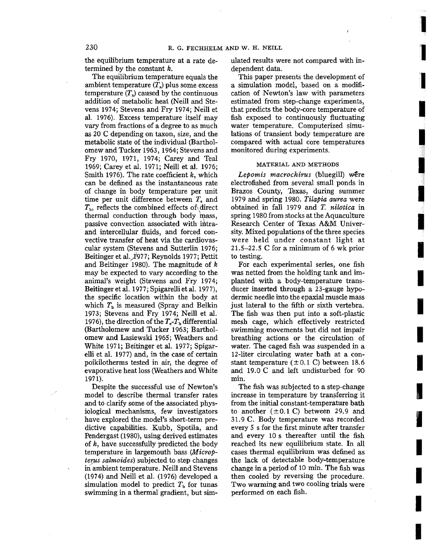the equilibrium temperature at a rate determined by the constant k.

The equilibrium temperature equals the ambient temperature  $(T_a)$  plus some excess temperature  $(T_x)$  caused by the continuous addition of metabolic heat (Neill and Stevens 1974; Stevens and Fry 1974; Neill et al. 1976). Excess temperature itself may vary from fractions of a degree to as much as 20 C depending on taxon, size, and the metabolic state of the individual (Bartholomew and Tucker 1963, 1964; Stevens and Fry 1970, 1971, 1974; Carey and Teal 1969; Carey et al. 1971; Neill et al. 1976; Smith 1976). The rate coefficient  $k$ , which can be defined as the instantaneous rate of change in body temperature per unit time per unit difference between  $T<sub>e</sub>$  and  $T<sub>b</sub>$ , reflects the combined effects of direct thermal conduction through body mass, passive convection associated with intraand intercellular fluids, and forced convective transfer of heat via the cardiovascular system (Stevens and Sutterlin 1976; Beitinger et al.)977; Reynolds 1977; Pettit and Beitinger 1980). The magnitude of k may be expected to vary according to the animal's weight (Stevens and Fry 1974; Beitinger et al. 1977; Spigarelli et al. 1977), the specific location within the body at which  $T<sub>b</sub>$  is measured (Spray and Belkin 1973; Stevens and Fry 1974; Neill et al. 1976), the direction of the  $T_e$ - $T_b$  differential (Bartholomew and Tucker 1963; Bartholomew and Lasiewski 1965; Weathers and White 1971; Beitinger et al. 1977; Spigarelli et al. 1977) and, in the case of certain poikilotherms tested in air, the degree of evaporative heat loss (Weathers and White 1971).

Despite the successful use of Newton's model to describe thermal transfer rates and to clarify some of the associated physiological mechanisms, few investigators have explored the model's short-term predictive capabilities. Kubb, Spotila, and Pendergast (1980), using derived estimates of  $k$ , have successfully predicted the body temperature in largemouth bass *(Micropterus salmoides)* subjected to step changes in ambient temperature. Neill and Stevens (1974) and Neill et al. (1976) developed a simulation model to predict  $T<sub>b</sub>$  for tunas swimming in a thermal gradient, but simulated results were not compared with independent data.

**1** 

1

1

i<br>I comen i l

**I** 

**I** 

I

I

I

I

I

I

I

**IMPROVER 1999** 

**INSTERNATION** 

I

I

I

I

This paper presents the development of a simulation model, based on a modification of Newton's law with parameters estimated from step-change experiments, that predicts the body-core temperature of fish exposed to continuously fluctuating water temperature. Computerized simulations of transient body temperature are compared with actual core temperatures monitored during experiments.

#### MATERIAL AND METHODS

*Lepomis macrochirus* (bluegill) were electrofished from several small ponds in Brazos County, Texas, during summer 1979 and spring 1980. *Tilapia aurea* were obtained in fall 1979 and *T. nilotica* in spring 1980 from stocks at the Aquaculture Research Center of Texas A&M University. Mixed populations of the three species were held under constant light at 21.5-22.5 C for a minimum of 6 wk prior to testing.

For each experimental series, one fish was netted from the holding tank and implanted with a body-temperature transducer inserted through a 23-gauge hypodermic needle into the epaxial muscle mass just lateral to the fifth or sixth vertebra. The fish was then put into a soft-plastic mesh cage, which effectively restricted swimming movements but did not impair breathing actions or the circulation of water. The caged fish was suspended in a 12-liter circulating water bath at a constant temperature  $(\pm 0.1 \text{ C})$  between 18.6 and 19.0 C and left undisturbed for 90 min.

The fish was subjected to a step-change increase in temperature by transferring it from the initial constant-temperature bath to another  $(\pm 0.1 \text{ C})$  between 29.9 and 31.9 C. Body temperature was recorded every 5 s for the first minute after transfer and every lOs thereafter until the fish reached its new equilibrium state. In all cases thermal equilibrium was defined as the lack of detectable body-temperature change in a period of 10 min. The fish was then cooled by reversing the procedure. Two warming and two cooling trials were performed on each fish.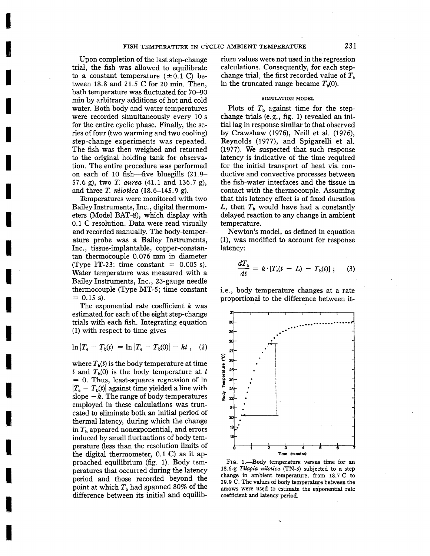Upon completion of the last step-change trial, the fish was allowed to equilibrate to a constant temperature  $(\pm 0.1 \text{ C})$  between 18.8 and 21.5 C for 20 min. Then, bath temperature was fluctuated for 70-90 min by arbitrary additions of hot and cold water. Both body and water temperatures were recorded simultaneously every 10 s for the entire cyclic phase. Finally, the series of four (two warming and two cooling) step-change experiments was repeated. The fish was then weighed and returned to the original holding tank for observation. The entire procedure was performed on each of 10 fish-five bluegills (21.9- 57.6 g), two T. *aurea* (41.1 and 136.7 g), and three T. *nilotica* (18.6-145.9 g).

Temperatures were monitored with two Bailey Instruments, Inc., digital thermometers (Model BAT-8), which display with 0.1 C resolution. Data were read visually and recorded manually. The body-temperature probe was a Bailey Instruments, Inc., tissue-implantable, copper-constantan thermocouple 0.076 mm in diameter (Type IT-23; time constant  $= 0.005$  s). Water temperature was measured with a Bailey Instruments, Inc., 23-gauge needle thermocouple (Type MT-5; time constant  $= 0.15$  s).

The exponential rate coefficient  $k$  was estimated for each of the eight step-change trials with each fish. Integrating equation (1) with respect to time gives

$$
\ln |T_{\rm e} - T_{\rm b}(t)| = \ln |T_{\rm e} - T_{\rm b}(0)| - kt \,, \quad (2)
$$

I

I

I

I

I

I

I

I

I

I

I

Those and the Contract of

I

I

I

I

I

I

I

where  $T<sub>b</sub>(t)$  is the body temperature at time t and  $T<sub>b</sub>(0)$  is the body temperature at t = O. Thus, least-squares regression of In  $|T_e - T_b(t)|$  against time yielded a line with slope  $-k$ . The range of body temperatures employed in these calculations was truncated to eliminate both an initial period of thermal latency, during which the change in  $T<sub>b</sub>$  appeared nonexponential, and errors induced by small fluctuations of body temperature (less than the resolution limits of the digital thermometer, 0.1 C) as it approached equilibrium (fig. 1). Body temperatures that occurred during the latency period and those recorded beyond the point at which  $T<sub>b</sub>$  had spanned 80% of the difference between its initial and equilibrium values were not used in the regression calculations. Consequently, for each stepchange trial, the first recorded value of  $T<sub>b</sub>$ in the truncated range became  $T<sub>b</sub>(0)$ .

## SIMULATION MODEL

Plots of  $T<sub>b</sub>$  against time for the stepchange trials (e.g., fig. 1) revealed an initiallag in response similar to that observed by Crawshaw (1976), Neill et al. (1976), Reynolds (1977), and Spigarelli et al. (1977). We suspected that such response latency is indicative of the time required for the initial transport of heat via conductive and convective processes between the fish-water interfaces and the tissue in contact with the thermocouple. Assuming that this latency effect is of fixed duration L, then  $T<sub>b</sub>$  would have had a constantly delayed reaction to any change in ambient temperature.

Newton's model, as defined in equation (1), was modified to account for response latency:

$$
\frac{dT_{\rm b}}{dt} = k \cdot [T_{\rm e}(t-L) - T_{\rm b}(t)]; \qquad (3)
$$

i.e., body temperature changes at a rate proportional to the difference between it-



FIG. 1.—Body temperature versus time for an 18.6-g *Tilapia nilotica* (TN-3) subjected to a step change in ambient temperature, from 18.7 C to 29.9 C. The values of body temperature between the arrows were used to estimate the exponential rate coefficient and latency period.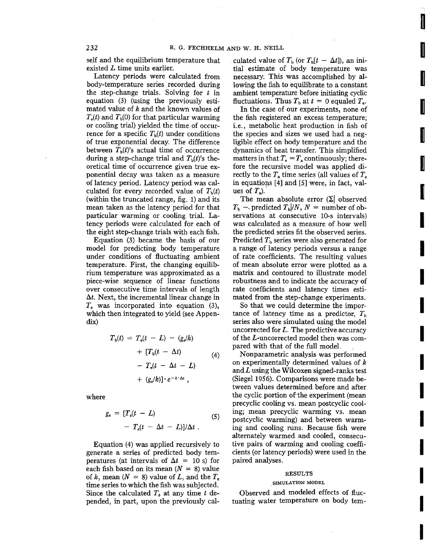self and the equilibrium temperature that existed L time units earlier.

Latency periods were calculated from body-temperature series recorded during the step-change trials. Solving for *t* in equation (3) (using the previously estimated value of k and the known values of  $T_e(t)$  and  $T_b(0)$  for that particular warming or cooling trial) yielded the time of occurrence for a specific  $T<sub>b</sub>(t)$  under conditions of true exponential decay. The difference between  $T<sub>b</sub>(t)'s$  actual time of occurrence during a step-change trial and  $T<sub>b</sub>(t)'s$  theoretical time of occurrence given true exponential decay was taken as a measure of latency period. Latency period was calculated for every recorded value of  $T<sub>b</sub>(t)$ (within the truncated range, fig. 1) and its mean taken as the latency period for that particular warming or cooling trial. Latency periods were calculated for each of the eight step-change trials with each fish.

Equation (3) became the basis of our model for predicting body temperature under conditions of fluctuating ambient temperature. First, the changing equilibrium temperature was approximated as a piece-wise sequence of linear functions over consecutive time intervals of length *dt.* Next, the incremental linear change in *T;* was incorporated into equation (3), which then integrated to yield (see Appendix)

$$
T_{b}(t) = T_{e}(t - L) - (g_{e}/k)
$$
  
+ 
$$
[T_{b}(t - \Delta t)]
$$
  
- 
$$
T_{e}(t - \Delta t - L)
$$
  
+ 
$$
(g_{e}/k)! \cdot e^{-k \cdot \Delta t},
$$
 (4)

where

$$
g_{c} = [T_{e}(t - L) - T_{e}(t - \Delta t - L)]/\Delta t
$$
 (5)

Equation (4) was applied recursively to generate a series of predicted body temperatures (at intervals of  $\Delta t = 10$  s) for each fish based on its mean  $(N = 8)$  value of k, mean ( $N = 8$ ) value of L, and the  $T_e$ time series to which the fish was subjected. Since the calculated  $T_b$  at any time  $t$  depended, in part, upon the previously *cal-* culated value of  $T_b$  (or  $T_b[t - \Delta t]$ ), an initial estimate of body temperature was necessary. This was accomplished by allowing the fish to equilibrate to a constant ambient temperature before initiating cyclic fluctuations. Thus  $T_b$  at  $t = 0$  equaled  $T_e$ .

**International** 

I

**International Control** 

**ISO CONTRACTOR** 

**International Property** 

I

I

I

I

I

I

I

I

I

I

I

I

In the case of our experiments, none of the fish registered an excess temperature; i.e., metabolic heat production in fish of the species and sizes we used had a negligible effect on body temperature and the dynamics of heat transfer. This simplified matters in that  $T<sub>e</sub> = T<sub>s</sub>$  continuously; therefore the recursive model was applied directly to the  $T_a$  time series (all values of  $T_c$ in equations [4] and [5] were, in fact, values of  $T<sub>a</sub>$ ).

The mean absolute error  $(\Sigma)$  observed  $T_b$  - predicted  $T_b/N$ ,  $N =$  number of observations at consecutive 10-s intervals) was calculated as a measure of how well the predicted series fit the observed series. Predicted  $T<sub>b</sub>$  series were also generated for a range of latency periods versus a range of rate coefficients. The resulting values of mean absolute error were plotted as a matrix and contoured to illustrate model robustness and to indicate the accuracy of rate coefficients and latency times estimated from the step-change experiments.

So that we could determine the importance of latency time as a predictor,  $T<sub>b</sub>$ series also were simulated using the model uncorrected for L. The predictive accuracy of the L-uncorrected model then was compared with that of the full model.

Nonparametric analysis was performed on experimentally determined values of *k* and  $L$  using the Wilcoxen signed-ranks test (Siegel 1956). Comparisons were made between values determined before and after the cyclic portion of the experiment (mean precyclic cooling vs. mean postcyclic cooling; mean precyclic warming vs, mean postcyclic warming) and between warming and cooling runs. Because fish were alternately warmed and cooled, consecutive pairs of warming and cooling coefficients (or latency periods) were used in the paired analyses.

### RESULTS

### SIMULATION MODEL

Observed and modeled effects of fluctuating water temperature on body tem-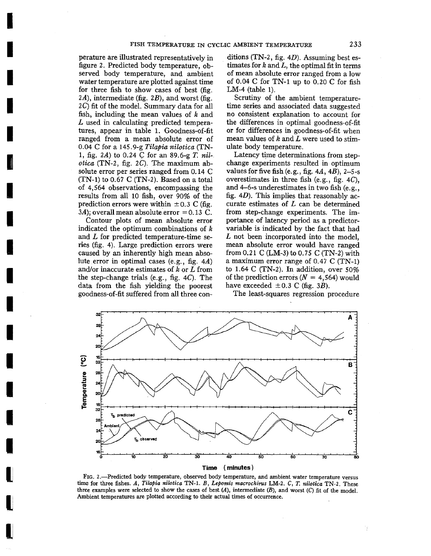perature are illustrated representatively in figure 2. Predicted body temperature, observed body temperature, and ambient water temperature are plotted against time for three fish to show cases of best (fig. *2A),* intermediate (fig. *2B),* and worst (fig. 2C) fit of the model. Summary data for all fish, including the mean values of  $k$  and L used in calculating predicted temperatures, appear in table 1. Goodness-of-fit ranged from a mean absolute error of 0.04 C for a I45.9-g *Tilapia nilotica* (TN-1, fig. *2A)* to 0.24 C for an 89.6-g *T. nil* $otica$  (TN-2, fig.  $2C$ ). The maximum absolute error per series ranged from 0.14 C  $(TN-1)$  to 0.67 C  $(TN-2)$ . Based on a total of 4,564 observations, encompassing the results from all 10 fish, over 90% of the prediction errors were within  $\pm 0.3$  C (fig.  $3A$ ); overall mean absolute error = 0.13 C.

I

I

**I** 

I

**INSTRUCTION** 

I<br>I<br>Isaac

I

I

I

I

I

I

I

I

I

I

Contour plots of mean absolute error indicated the optimum combinations of k and L for predicted temperature-time series (fig. 4). Large prediction errors were caused by an inherently high mean absolute error in optimal cases (e.g., fig. 4A) and/or inaccurate estimates of *k* or *L* from the step-change trials (e.g., fig. 4C). The data from the fish yielding the poorest goodness-of-fit suffered from all three con-

ditions (TN-2, fig.  $4D$ ). Assuming best estimates for  $k$  and  $L$ , the optimal fit in terms of mean absolute error ranged from a low of 0.04 C for TN-l up to 0.20 C for fish LM-4 (table 1).

Scrutiny of the ambient temperaturetime series and associated data suggested no consistent explanation to account for the differences in optimal goodness-of-fit or for differences in goodness-of-fit when mean values of *k* and *L* were used to stimulate body temperature.

Latency time determinations from stepchange experiments resulted in optimum values for five fish (e.g., fig.  $4A$ ,  $4B$ ), 2-5-s overestimates in three fish (e.g., fig. 4C), and 4-6-s underestimates in two fish (e.g., fig. 4D). This implies that reasonably accurate estimates of L can be determined from step-change experiments. The importance of latency period as a predictorvariable is indicated by the fact that had L not been incorporated into the model, mean absolute error would have ranged from 0.21 C (LM-3) to 0.75 C (TN-2) with a maximum error range of 0.47 C (TN-I) to 1.64 C (TN-2). In addition, over 50% of the prediction errors  $(N = 4,564)$  would have exceeded  $\pm 0.3$  C (fig. 3B).

The least-squares regression procedure



FIG. 2.-Predicted body temperature, observed body temperature, and ambient water temperature versus time for three fishes. *A, Tilopia nilotica* TN-I. *B, Lepomis macrochirus* LM-2. C, *T. nilotica.* TN-2. These three examples were selected to show the cases of best  $(A)$ , intermediate  $(B)$ , and worst  $(C)$  fit of the model. Ambient temperatures are plotted according to their actual times of occurrence.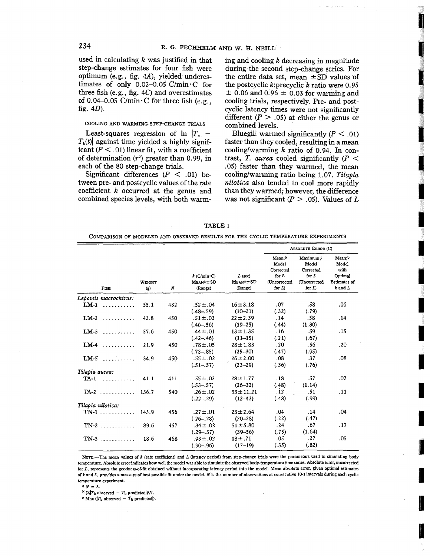used in calculating *k* was justified in that step-change estimates for four fish were optimum (e.g., fig. 4A), yielded underestimates of only 0.02-0.05 C/min $\cdot$ C for three fish (e.g., fig. 4C) and overestimates of 0.04-0.05 C/min $\cdot$ C for three fish (e.g., fig.  $4D$ ).

### COOLING AND WARMING STEP-CHANGE TRIALS

Least-squares regression of  $\ln |T_e|$  –  $T<sub>b</sub>(t)$  against time yielded a highly significant ( $P < .01$ ) linear fit, with a coefficient of determination  $(r^2)$  greater than 0.99, in each of the 80 step-change trials.

Significant differences ( $P < .01$ ) between pre- and postcyclic values of the rate coefficient k occurred at the genus and combined species levels, With both warming and cooling *k* decreasing in magnitude during the second step-change series. For the entire data set, mean  $\pm$  SD values of the postcyclic k:precyclic *k* ratio were 0.95  $\pm$  0.06 and 0.96  $\pm$  0.03 for warming and cooling trials, respectively. Pre- and postcyclic latency times were not significantly different ( $P > .05$ ) at either the genus or combined levels.

fl

I

E<sub>a</sub>

I

I

I

I

I

**International** 

I

I

**I** 

Bluegill warmed significantly  $(P < .01)$ faster than they cooled, resulting in a mean cooling/warming  $k$  ratio of 0.94. In contrast, *T. aurea* cooled significantly  $(P <$ .05) faster than they warmed, the mean cooling/warming ratio being 1.07. Tilapla *nilotica* also tended to cool more rapidly than they warmed; however, the difference was not significant  $(P > .05)$ . Values of L

| <b>TABLE</b> |  |
|--------------|--|
|--------------|--|

COMPARISON OF MODELED AND OBSERVED RESULTS FOR THE CYCLIC TEMPERATURE EXPERIMENTS

|                      |                               |                  | $k$ (C/min $\sim$ C)<br>$M$ EAN <sup>3</sup> $\pm$ SD<br>(Range) | $L$ (sec)<br>$M_{EAN}^a \pm SD$<br>(Range) | <b>ABSOLUTE ERROR (C)</b>                                               |                                                                                           |                                                                   |
|----------------------|-------------------------------|------------------|------------------------------------------------------------------|--------------------------------------------|-------------------------------------------------------------------------|-------------------------------------------------------------------------------------------|-------------------------------------------------------------------|
| <b>FISH</b>          | WEIGHT<br>$\langle g \rangle$ | $\boldsymbol{N}$ |                                                                  |                                            | Mean;b<br>Model<br>Corrected<br>for L<br><b>(Uncorrected</b><br>for $L$ | Maximum: <sup>c</sup><br>Model<br>Corrected<br>for $L$<br><i>(Uncorrected)</i><br>for $L$ | Mean;b<br>Model<br>with<br>Optimal<br>Estimates of<br>$k$ and $L$ |
| Lepomis macrochirus: |                               |                  |                                                                  |                                            |                                                                         |                                                                                           |                                                                   |
| $LM-1$               | 55.1                          | 432              | $.52 \pm .04$<br>$(.48 - .59)$                                   | $16 = 3.18$<br>$(10 - 21)$                 | .07<br>(.32)                                                            | .58<br>(.79)                                                                              | .06                                                               |
| $LM-2$               | 43.8                          | 450              | $.51 \pm .03$<br>$(.46 - .56)$                                   | $22 \pm 2.39$<br>$(19 - 25)$               | .14<br>(.44)                                                            | .58<br>(1.30)                                                                             | .14                                                               |
| $LM-3$               | 57.6                          | 450              | $.44 \pm .01$<br>$(.42 - .46)$                                   | $13 + 1.35$<br>$(11-15)$                   | .16<br>(.21)                                                            | -59<br>(.67)                                                                              | .15                                                               |
| $LM-4$               | 21.9                          | 450              | $.78 \pm .05$<br>$(.73 - .85)$                                   | $28 \pm 1.83$<br>$(25 - 30)$               | .20<br>(.47)                                                            | .56<br>(.95)                                                                              | .20                                                               |
| $LM-5$               | 34.9                          | 450              | $.55 \pm .02$<br>$(.51-.57)$                                     | $26 = 2.00$<br>$(23 - 29)$                 | .08<br>(.36)                                                            | .37<br>(.76)                                                                              | .08                                                               |
| Tilapia aurea:       |                               |                  |                                                                  |                                            |                                                                         |                                                                                           |                                                                   |
|                      | 41.1                          | 411              | $.55 \pm .02$<br>$(.53 - .57)$                                   | $28 + 1.77$<br>$(26 - 32)$                 | .18<br>(.48)                                                            | .57<br>(1.14)                                                                             | .07                                                               |
| $TA-2$               | 136.7                         | 540              | $.26 \pm .02$<br>$(.22-.29)$                                     | $33 \pm 11.21$<br>$(12-43)$                | .12<br>(.48)                                                            | .51<br>(.99)                                                                              | .11                                                               |
| Tilapia nilotica:    |                               |                  |                                                                  |                                            |                                                                         |                                                                                           |                                                                   |
| $TN-1$               | 145.9                         | 456              | $.27 - .01$<br>$(.26 - .28)$                                     | $23 \pm 2.64$<br>$(20 - 28)$               | .04<br>(.22)                                                            | .14<br>(.47)                                                                              | .04                                                               |
|                      | 89.6                          | 457              | $.34 \pm .02$<br>$(.29-.37)$                                     | $51 \pm 5.80$<br>$(39 - 56)$               | .24<br>(.75)                                                            | .67<br>(1.64)                                                                             | .17                                                               |
| $TN-3$               | 18.6                          | 468              | $.93 \pm .02$<br>$(.90-.96)$                                     | $18 \pm .71$<br>$(17-19)$                  | .05<br>(.35)                                                            | .27<br>(.82)                                                                              | .05                                                               |

NOTE.-The mean values of *k* (rate coefficient) and *L* (latency period) from step-change trials were the parameters used in simulating body temperature. Absolute error indicates how well the model was able to simulate the observed body-temperature time series. Absolute error, uncorrected for L, represents the goodness-of-fit obtained without incorporating latency period into the model. Mean absolute error, given optimal estimates of *k* and *L,* provides a measure of best possible fit under the model. *N"is*the number of observations at consecutive 10'5 intervals during each cyclic temperature experiment.

 $a N = 8.$ 

 $b^{(1)}(\Sigma|T_b)$  observed -  $T_b$  predicted  $|N$ .

 $\cdot$  Max (|T<sub>b</sub> observed - T<sub>b</sub> predicted|).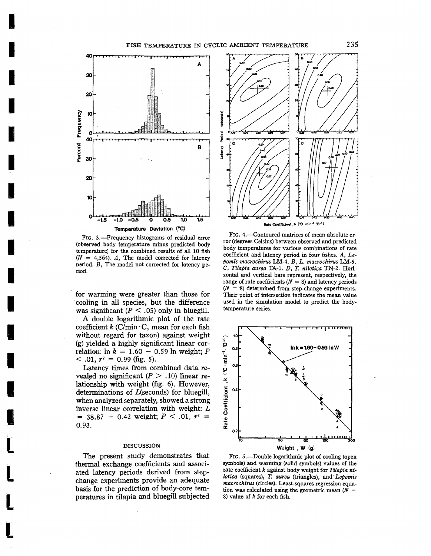

I

I

I

I

I<br>Indiana<br>Indiana

I

I<br>Integr

I

I

I

I

I

I

**I** 

I

t

l

[

[

FIG. 3.-Frequency histograms of residual error (observed body temperature minus predicted body temperature) for the combined results of all 10 fish  $(N = 4.564)$ . A, The model corrected for latency period. B, The model not corrected for latency period.

for warming were greater than those for .cooling in all species, but the difference was significant ( $P \leq .05$ ) only in bluegill.

A double logarithmic plot of the rate coefficient  $k$  (C/min  $\cdot$  C, mean for each fish without regard for taxon) against weight (g) yielded a highly significant linear correlation: In  $k = 1.60 - 0.59$  In weight; P  $<$  .01,  $r^2 = 0.99$  (fig. 5).

Latency times from combined data revealed no significant  $(P > .10)$  linear relationship with weight (fig. 6). However, determinations of  $L$ (seconds) for bluegill, when analyzed separately, showed a strong inverse linear correlation with weight: L  $=$  38.87 - 0.42 weight;  $P < .01$ ,  $r<sup>2</sup> =$ 0.93.

## DISCUSSION

The present study demonstrates that thermal exchange coefficients and associated latency periods derived from stepchange experiments provide an adequate basis for the prediction of body-core temperatures in tilapia and bluegill subjected



FIG. 4.-Contoured matrices of mean absolute error (degrees Celsius) between observed and predicted body temperatures for various combinations of rate coefficient and latency period in four fishes. *A, Lepomis macrochirus* LM-4. *B, L. macrochirus* LM-5. C, *Tilapia aurea* TA-l. *D,* T. *nilotica TN-Z.* Horizontal and vertical bars represent, respectively, the range of rate coefficients ( $N = 8$ ) and latency periods  $(N = 8)$  determined from step-change experiments. Their point of intersection indicates the mean value used in the simulation model to predict the bodytemperature series.



FIG. 5.-Double logarithmic plot of cooling (open symbols) and warming (solid symbols) values of the rate coefficient k against body weight for Tilapia ni*lotica* (squares), T. *aurea* (triangles), and *Lepomis macrochirus* (circles). Least-squares regression equation was calculated using the geometric mean  $(N =$ 8) value of *k* for each fish.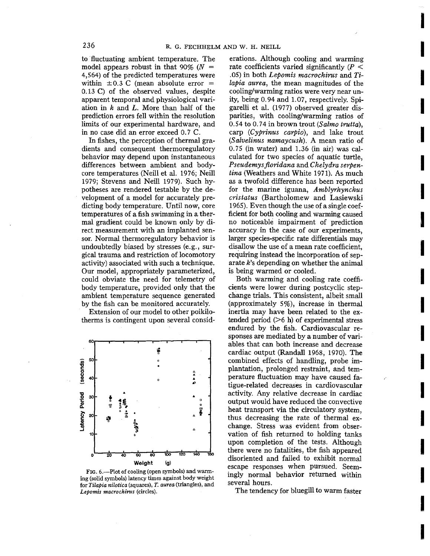to 'fluctuating ambient temperature. The model appears robust in that 90% ( $N =$ 4,564) of the predicted temperatures were within  $\pm 0.3$  C (mean absolute error  $=$ 0.13 C) of the observed values, despite apparent temporal and physiological variation in *k* and L. More than half of the prediction errors fell within the resolution limits of our experimental hardware, and in no case did an error exceed 0.7 C.

In fishes, the perception of thermal gradients and consequent thermoregulatory behavior may depend upon instantaneous differences between ambient and bodycore temperatures (Neill et al. 1976; Neill 1979; Stevens and Neill 1979). Such hypotheses are rendered testable by the development of a model for accurately predicting body temperature. Until now, core temperatures of a fish swimming in a thermal gradient could be known only by direct measurement with an implanted sensor. Normal thermoregulatory behavior is undoubtedly biased by stresses (e.g., surgical trauma and restriction of locomotory activity) associated with such a technique. Our model, appropriately parameterized, could obviate the need for telemetry of body temperature, provided only that the ambient temperature sequence generated by the fish can be monitored accurately.

Extension of our model to other poikilotherms is contingent upon several consid-



FIG. 6.-Plot of cooling (open symbols) and warming (solid symbols) latency times against body weight for *Tilapia nilotica* (squares), *T. aurea* (triangles), and *Lepomis macrochirus* (circles).

erations. Although cooling and warming rate coefficients varied significantly ( $P \leq$ .05) in both *Lepomis macrochirus* and *Tilapia aurea,* the mean magnitudes of the cooling/warming ratios were very near unity, being 0.94 and 1.07, respectively. Spigarelli et al. (1977) observed greater disparities, with cooling/warming ratios of 0.54 to 0.74 in brown trout *(Salmo trutta),* carp *(Cyprinus carpio),* and lake trout *(Salvelinus namaycush).* A mean ratio of 0.75 (in water) and 1.36 (in air) was calculated for two species of aquatic turtle, *Pseudemysfioridana* and *Chelydra serpentina* (Weathers and White 1971). As much as a twofold difference has been reported for the marine iguana, *Amblyrhynchus cristatus* (Bartholomew and Lasiewski 1965). Even though the use of a single coefficient for both cooling and warming caused no noticeable impairment of prediction accuracy in the case of our experiments, larger species-specific rate differentials may disallow the use of a mean rate coefficient, requiring instead the incorporation of separate k's depending on whether the animal is being warmed or cooled.

I

I

I

I

I

I

I

**Inchester** 

I

I

I

I

I

I

I

I

I

I

I

Both warming and cooling rate coefficients were lower during postcyclic stepchange trials. This consistent, albeit small (approximately 5%), increase in thermal inertia may have been related to the extended period (>6 h) of experimental stress endured by the fish. Cardiovascular responses are mediated by a number of variables that can both increase and decrease cardiac output (Randall 1968, 1970). The combined effects of handling, probe implantation, prolonged restraint, and temperature fluctuation may have caused fatigue-related decreases in cardiovascular activity. Any relative decrease in cardiac output would have reduced the convective heat transport via the circulatory system, thus decreasing the rate of thermal exchange. Stress was evident from observation of fish returned to holding tanks upon completion of the tests. Although there were no fatalities, the fish appeared disoriented and failed to exhibit normal escape responses when pursued. Seemingly normal behavior returned within several hours.

The tendency for bluegill to warm faster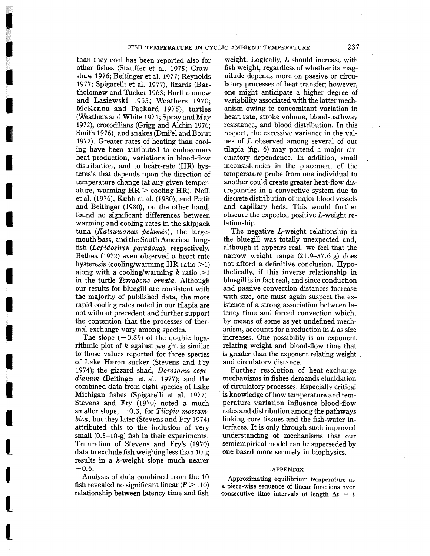than they cool has been reported also for other fishes (Stauffer et al. 1975; Crawshaw 1976; Beitinger et al. 1977; Reynolds 1977; Spigarelli et al. 1977), lizards (Bartholomew and Tucker 1963; Bartholomew and Lasiewski 1965; Weathers 1970; McKenna and Packard 1975), turtles (Weathers and White 1971; Spray and May 1972), crocodilians (Grigg and Alchin 1976; Smith 1976), and snakes (Dmi'el and Borut 1972). Greater rates of heating than cooling have been attributed to endogenous heat production, variations in blood-flow distribution, and to heart-rate (HR) hysteresis that depends upon the direction of temperature change (at any given temperature, warming HR > cooling HR). Neill et al. (1976), Kubb et al. (1980), and Pettit and Beitinger (1980), on the other hand, found no significant differences between warming and cooling rates in the skipjack tuna *(Katsuwonus pelamis)*, the largemouth bass, and the South American lungfish *(Lepidosiren paradoxa),* respectively. Bethea (1972) even observed a heart-rate hysteresis (cooling/warming HR ratio  $>1$ ) along with a cooling/warming k ratio  $>1$ in the turtle *Terrapene ornata.* Although our results for bluegill are consistent with the majority of published data, the more rapid cooling rates noted in our tilapia are not without precedent and further support the contention that the processes of thermal exchange vary among species.

I

**In the case of the case of the case of the case of the case of the case of the case of the case of the case of the case of the case of the case of the case of the case of the case of the case of the case of the case of th** 

**I** 

**C** 

I

I

I

I

I

I

**I** 

I

I

I

I

L

L

L

L

The slope  $(-0.59)$  of the double logarithmic plot of *k* against weight is similar to those values reported for three species of Lake Huron sucker (Stevens and Fry 1974); the gizzard shad, *Dorosoma cepedianum* (Beitinger et al. 1977); and the combined data from eight species of Lake Michigan fishes (Spigarelli et al. 1977). Stevens and Fry (1970) noted a much smaller slope, -0.3, for *Tilapia mossambica,* but they later (Stevens and Fry 1974) attributed this to the inclusion of very small  $(0.5-10-g)$  fish in their experiments. Truncation of Stevens and Fry's (1970) data to exclude fish weighing less than 10 g results in a k-weight slope much nearer  $-0.6.$ 

Analysis of data combined from the 10 fish revealed no significant linear  $(P > .10)$ relationship between latency time and fish

weight. Logically, L should increase with fish weight, regardless of whether its magnitude depends more on passive or circulatory processes of heat transfer; however, one might anticipate a higher degree of variability associated with the latter mechanism owing to concomitant variation in heart rate, stroke volume, blood-pathway resistance, and blood distribution. **In** this respect, the excessive variance in the values of L observed among several of our tilapia (fig. 6) may portend a major circulatory dependence. **In** addition, small inconsistencies in the placement of the temperature probe from one individual to another could create greater heat-flow discrepancies in a convective system due to discrete distribution of major blood vessels and capillary beds. This would further obscure the expected positive L-weight relationship.

The negative L-weight relationship in the bluegill was totally unexpected and, although it appears real, we feel that the narrow weight range  $(21.9-57.6 \text{ g})$  does not afford a definitive conclusion. Hypothetically, if this inverse relationship in bluegill is in fact real, and since conduction and passive convection distances increase with size, one must again suspect the existence of a strong association between latency time and forced convection which, by means of some as yet undefined mechanism, accounts for a reduction in  *as size* increases. One possibility is an exponent relating weight and blood-flow time that is greater than the exponent relating weight and circulatory distance.

Further resolution. of heat-exchange mechanisms in fishes demands elucidation of circulatory processes. Especially critical . is knowledge of how temperature and temperature variation influence blood-flow rates and distribution among the pathways linking core tissues and the fish-water interfaces. It is only through such improved understanding of mechanisms that our semiempirical model can be superseded by one based more securely in biophysics.

## APPENDIX

Approximating equilibrium temperature as a piece-wise sequence of linear functions over consecutive time intervals of length  $\Delta t = t$ 

237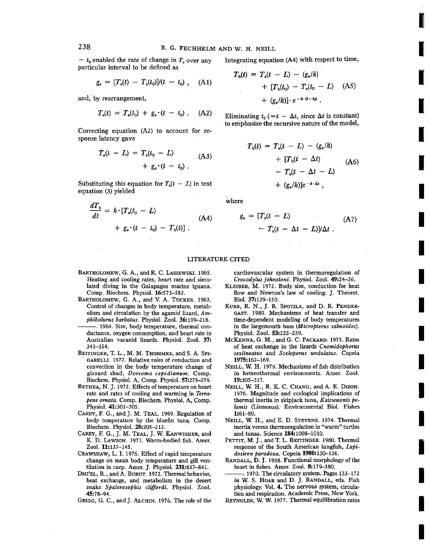$- t_0$  enabled the rate of change in  $T_e$  over any particular interval to be defined as

$$
g_{e} = [T_{e}(t) - T_{e}(t_{0})]/(t - t_{0}), \quad (A1)
$$

and; by rearrangement,

$$
T_{e}(t) = T_{e}(t_{0}) + g_{e} \cdot (t - t_{0}) \ . \quad (A2)
$$

Correcting equation (A2) to account for response latency gave

$$
T_{e}(t - L) = T_{e}(t_{0} - L)
$$
  
+  $g_{e} \cdot (t - t_{0})$ . (A3)

Substituting this equation for  $T_c(t - L)$  in text equation (3) yielded

$$
\frac{dT_{b}}{dt} = k \cdot [T_{e}(t_{0} - L) + g_{e} \cdot (t - t_{0}) - T_{b}(t)] \tag{A4}
$$

Integrating equation (A4) with respect to time,

**I** 

I

I

I

I

I

I

I

I

I

I

I<br>I<br>I

I

I

I

I

I

I

**I** 

$$
T_{b}(t) = T_{e}(t - L) - (g_{e}/k)
$$
  
+ 
$$
[T_{b}(t_{0}) - T_{e}(t_{0} - L) \quad (A5)
$$
  
+ 
$$
(g_{e}/k)] \cdot e^{-k \cdot (t - t_{0})}
$$
.

Eliminating  $t_0$  ( $=t - \Delta t$ , since  $\Delta t$  is constant) to emphasize the recursive nature of the model,

$$
T_{b}(t) = T_{e}(t - L) - (g_{e}/k)
$$
  
+ 
$$
[T_{b}(t - \Delta t) \qquad (A6)
$$
  
- 
$$
T_{e}(t - \Delta t - L)
$$
  
+ 
$$
(g_{e}/k)[e^{-k \cdot \Delta t},
$$

where

$$
g_{e} = [T_{e}(t - L) - T_{e}(t - \Delta t - L)]/\Delta t
$$
 (A7)

#### LITERATURE CITED

- BARTHOLOMEW, G. A., and R. C. LASIEWSKI. 1965. Heating and cooling rates, heart rate and simulated diving in the Galapagos marine iguana. Comp. Biochem. Physiol. 16:573-582.
- BARTHOLOMEW, G. A., and V. A. TUCKER. 1963. Control of changes in body temperature, metabolism and circulation by the agamid lizard, Am*phiboluros barbatus.* Physiol. Zool. 36:199-218. --. 1964. Size, body temperature, thermal con-
- ductance, oxygen consumption, and heart rate in Australian varanid lizards. Physiol. Zool. 37: 341-354.
- BEITINGER, T. L., M. M. THOMMES, and S. A. SPI-GARELLI. 1977. Relative roles of conduction and convection in the body temperature change of gizzard shad, *Dorsoma* cepedianum. Comp. Biochem. Physiol. A, Comp. Physiol. 57:275-279.
- BETHEA, N. J. 1972. Effects of temperature on heart rate and rates of cooling and warming in *Terrapene ornata.* Comp. Biochem. Physiol. A, Comp. Physiol. 41:301-305.
- CAREY, F. G., and ]. M. TEAL. 1969. Regulation of body temperature by the bluefin tuna. Comp. Biochem, Physiol. 28:205-213. '
- CAREY, F. G., J. M. TEAL, J. W. KANwISHER, and K. D. LAWSON. 1971. Warm-bodied fish. Amer. Zool. 11:137-145.
- CRAWSHAW, L. I. 1976. Effect of rapid temperature change on mean body temperature and gill ventilation in carp. Amer. J. Physiol. 231:837-841.
- DMI'EL, R., and A. BORUT. 1972. Thermal behavior, heat exchange, and metabolism in the desert snake *Spalerosophis cliffordi,* Physiol. Zool. 45:78-94.
- GRIGG, G. C., and J. ALCHIN. 1976. The role of the

cardiovascular system in thermoregulation of *Crocodylus [ohnstoni.* Physiol. Zool. 49:24-36.

- KLEIBER, M. 1972. Body size, conduction for heat flow and Newton's law of cooling. J. Theoret. Bioi. 37:139-150.
- KUBB, R. N., J. R. SPOTILA, and D. R. PENDER-GAST. 1980. Mechanisms of heat transfer and time-dependent modeling of body temperatures in the largemouth bass *(Micropterus salmoides)*. Physiol. Zool. 53:222-239.
- MCKENNA, G. M., and G. C. PACKARD. 1975. Rates of heat exchange in the lizards Cnemidophorus *sexlineatus* and *Sceloporus undulatus.* Copeia 1975:162-169.
- NEILL, W. H. 1979. Mechanisms of fish distribution in heterothermal environments. Amer. Zool. 19:305-317.
- NEILL, W. H., R. K. C. CHANG, and A. E. DIZON. 1976. Magnitude and ecological implications of thermal inertia in skipjack tuna, *Katsuwonis pelamis* (Linneaus). Environmental BioI. Fishes 1:61-80.
- NEILL, W. H., and E. D. STEVENS. 1974. Thermal inertia versus thermoregulation in "warm" turtles and tunas. Science 184:1008-1010.
- PETTIT, M. J., and T. L. BEITINGER. 1980. Thermal response of the South American lungfish, Lepi*dosiren paradoxa.* Copeia 1980:130-136.
- RANDALL, D. J. 1968. Functional morphology of the heart in fishes. Amer. Zool. 8:179-180.
- --.1970. The circulatory system. Pages 133-172 *in* W. S. HOAR and D. ]. RANDALL, eds. Fish physiology. Vol. **4.** The nervous system, circulation and respiration. Academic Press, New York.
- REYNOLDS, W. W. 1977. Thermal equilibration rates

238